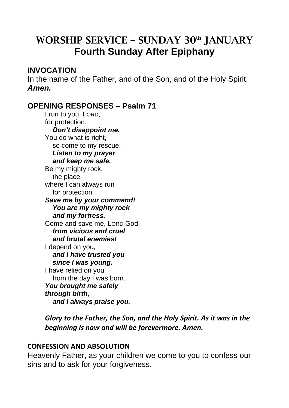# WORSHIP SERVICE – SUNDAY 30<sup>th</sup> JANUARY **Fourth Sunday After Epiphany**

## **INVOCATION**

In the name of the Father, and of the Son, and of the Holy Spirit. *Amen.* 

# **OPENING RESPONSES – Psalm 71**

I run to you, LORD, for protection.  *Don't disappoint me.* You do what is right, so come to my rescue.  *Listen to my prayer and keep me safe.* Be my mighty rock, the place where I can always run for protection. *Save me by your command! You are my mighty rock and my fortress.* Come and save me, LORD God, *from vicious and cruel and brutal enemies!* I depend on you, *and I have trusted you since I was young.* I have relied on you from the day I was born. *You brought me safely through birth, and I always praise you.*

*Glory to the Father, the Son, and the Holy Spirit. As it was in the beginning is now and will be forevermore. Amen.* 

#### **CONFESSION AND ABSOLUTION**

Heavenly Father, as your children we come to you to confess our sins and to ask for your forgiveness.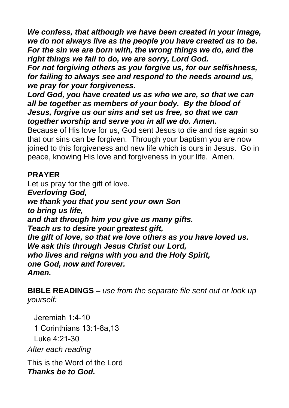*We confess, that although we have been created in your image, we do not always live as the people you have created us to be. For the sin we are born with, the wrong things we do, and the right things we fail to do, we are sorry, Lord God.*

*For not forgiving others as you forgive us, for our selfishness, for failing to always see and respond to the needs around us, we pray for your forgiveness.*

*Lord God, you have created us as who we are, so that we can all be together as members of your body. By the blood of Jesus, forgive us our sins and set us free, so that we can together worship and serve you in all we do. Amen.*

Because of His love for us, God sent Jesus to die and rise again so that our sins can be forgiven. Through your baptism you are now joined to this forgiveness and new life which is ours in Jesus. Go in peace, knowing His love and forgiveness in your life. Amen.

# **PRAYER**

Let us pray for the gift of love. *Everloving God, we thank you that you sent your own Son to bring us life, and that through him you give us many gifts. Teach us to desire your greatest gift, the gift of love, so that we love others as you have loved us. We ask this through Jesus Christ our Lord, who lives and reigns with you and the Holy Spirit, one God, now and forever. Amen.*

**BIBLE READINGS –** *use from the separate file sent out or look up yourself:*

Jeremiah 1:4-10 1 Corinthians 13:1-8a,13 Luke 4:21-30 *After each reading* 

This is the Word of the Lord *Thanks be to God.*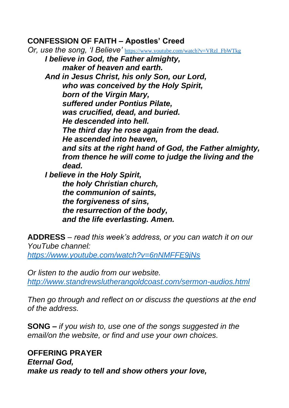### **CONFESSION OF FAITH – Apostles' Creed**

*Or, use the song, 'I Believe'* [https://www.youtube.com/watch?v=VRzI\\_FbWTkg](https://www.youtube.com/watch?v=VRzI_FbWTkg) *I believe in God, the Father almighty, maker of heaven and earth. And in Jesus Christ, his only Son, our Lord, who was conceived by the Holy Spirit, born of the Virgin Mary, suffered under Pontius Pilate, was crucified, dead, and buried. He descended into hell. The third day he rose again from the dead. He ascended into heaven, and sits at the right hand of God, the Father almighty, from thence he will come to judge the living and the dead. I believe in the Holy Spirit, the holy Christian church, the communion of saints, the forgiveness of sins, the resurrection of the body, and the life everlasting. Amen.*

**ADDRESS** – *read this week's address, or you can watch it on our YouTube channel: <https://www.youtube.com/watch?v=6nNMFFE9jNs>*

*Or listen to the audio from our website. <http://www.standrewslutherangoldcoast.com/sermon-audios.html>*

*Then go through and reflect on or discuss the questions at the end of the address.* 

**SONG –** *if you wish to, use one of the songs suggested in the email/on the website, or find and use your own choices.* 

**OFFERING PRAYER**  *Eternal God, make us ready to tell and show others your love,*